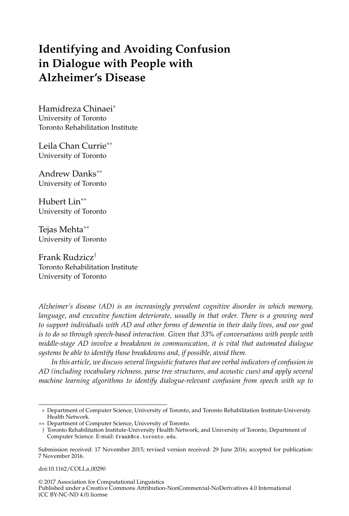# **Identifying and Avoiding Confusion in Dialogue with People with Alzheimer's Disease**

Hamidreza Chinaei<sup>∗</sup> University of Toronto Toronto Rehabilitation Institute

Leila Chan Currie∗∗ University of Toronto

Andrew Danks∗∗ University of Toronto

Hubert Lin∗∗ University of Toronto

Tejas Mehta∗∗ University of Toronto

Frank Rudzicz† Toronto Rehabilitation Institute University of Toronto

*Alzheimer's disease (AD) is an increasingly prevalent cognitive disorder in which memory, language, and executive function deteriorate, usually in that order. There is a growing need to support individuals with AD and other forms of dementia in their daily lives, and our goal is to do so through speech-based interaction. Given that 33% of conversations with people with middle-stage AD involve a breakdown in communication, it is vital that automated dialogue systems be able to identify those breakdowns and, if possible, avoid them.*

*In this article, we discuss several linguistic features that are verbal indicators of confusion in AD (including vocabulary richness, parse tree structures, and acoustic cues) and apply several machine learning algorithms to identify dialogue-relevant confusion from speech with up to*

doi:10.1162/COLI\_a\_00290

© 2017 Association for Computational Linguistics

Published under a Creative Commons Attribution-NonCommercial-NoDerivatives 4.0 International (CC BY-NC-ND 4.0) license

<sup>∗</sup> Department of Computer Science, University of Toronto, and Toronto Rehabilitation Institute-University Health Network.

<sup>∗∗</sup> Department of Computer Science, University of Toronto.

<sup>†</sup> Toronto Rehabilitation Institute-University Health Network, and University of Toronto, Department of Computer Science. E-mail: frank@cs.toronto.edu.

Submission received: 17 November 2015; revised version received: 29 June 2016; accepted for publication: 7 November 2016.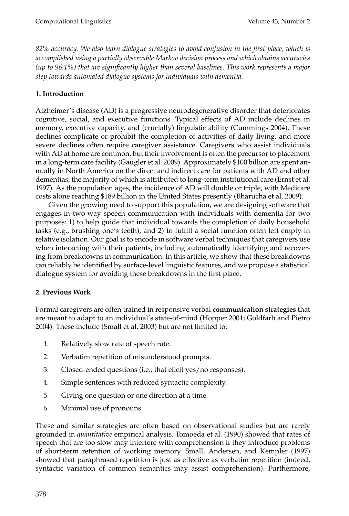*82% accuracy. We also learn dialogue strategies to avoid confusion in the first place, which is accomplished using a partially observable Markov decision process and which obtains accuracies (up to 96.1%) that are significantly higher than several baselines. This work represents a major step towards automated dialogue systems for individuals with dementia.*

## **1. Introduction**

Alzheimer's disease (AD) is a progressive neurodegenerative disorder that deteriorates cognitive, social, and executive functions. Typical effects of AD include declines in memory, executive capacity, and (crucially) linguistic ability (Cummings 2004). These declines complicate or prohibit the completion of activities of daily living, and more severe declines often require caregiver assistance. Caregivers who assist individuals with AD at home are common, but their involvement is often the precursor to placement in a long-term care facility (Gaugler et al. 2009). Approximately \$100 billion are spent annually in North America on the direct and indirect care for patients with AD and other dementias, the majority of which is attributed to long-term institutional care (Ernst et al. 1997). As the population ages, the incidence of AD will double or triple, with Medicare costs alone reaching \$189 billion in the United States presently (Bharucha et al. 2009).

Given the growing need to support this population, we are designing software that engages in two-way speech communication with individuals with dementia for two purposes: 1) to help guide that individual towards the completion of daily household tasks (e.g., brushing one's teeth), and 2) to fulfill a social function often left empty in relative isolation. Our goal is to encode in software verbal techniques that caregivers use when interacting with their patients, including automatically identifying and recovering from breakdowns in communication. In this article, we show that these breakdowns can reliably be identified by surface-level linguistic features, and we propose a statistical dialogue system for avoiding these breakdowns in the first place.

## **2. Previous Work**

Formal caregivers are often trained in responsive verbal **communication strategies** that are meant to adapt to an individual's state-of-mind (Hopper 2001; Goldfarb and Pietro 2004). These include (Small et al. 2003) but are not limited to:

- 1. Relatively slow rate of speech rate.
- 2. Verbatim repetition of misunderstood prompts.
- 3. Closed-ended questions (i.e., that elicit yes/no responses).
- 4. Simple sentences with reduced syntactic complexity.
- 5. Giving one question or one direction at a time.
- 6. Minimal use of pronouns.

These and similar strategies are often based on observational studies but are rarely grounded in *quantitative* empirical analysis. Tomoeda et al. (1990) showed that rates of speech that are too slow may interfere with comprehension if they introduce problems of short-term retention of working memory. Small, Andersen, and Kempler (1997) showed that paraphrased repetition is just as effective as verbatim repetition (indeed, syntactic variation of common semantics may assist comprehension). Furthermore,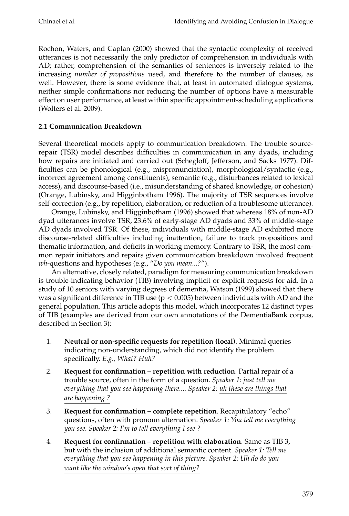Rochon, Waters, and Caplan (2000) showed that the syntactic complexity of received utterances is not necessarily the only predictor of comprehension in individuals with AD; rather, comprehension of the semantics of sentences is inversely related to the increasing *number of propositions* used, and therefore to the number of clauses, as well. However, there is some evidence that, at least in automated dialogue systems, neither simple confirmations nor reducing the number of options have a measurable effect on user performance, at least within specific appointment-scheduling applications (Wolters et al. 2009).

## **2.1 Communication Breakdown**

Several theoretical models apply to communication breakdown. The trouble sourcerepair (TSR) model describes difficulties in communication in any dyads, including how repairs are initiated and carried out (Schegloff, Jefferson, and Sacks 1977). Difficulties can be phonological (e.g., mispronunciation), morphological/syntactic (e.g., incorrect agreement among constituents), semantic (e.g., disturbances related to lexical access), and discourse-based (i.e., misunderstanding of shared knowledge, or cohesion) (Orange, Lubinsky, and Higginbotham 1996). The majority of TSR sequences involve self-correction (e.g., by repetition, elaboration, or reduction of a troublesome utterance).

Orange, Lubinsky, and Higginbotham (1996) showed that whereas 18% of non-AD dyad utterances involve TSR, 23.6% of early-stage AD dyads and 33% of middle-stage AD dyads involved TSR. Of these, individuals with middle-stage AD exhibited more discourse-related difficulties including inattention, failure to track propositions and thematic information, and deficits in working memory. Contrary to TSR, the most common repair initiators and repairs given communication breakdown involved frequent *wh*-questions and hypotheses (e.g., "*Do you mean...?*").

An alternative, closely related, paradigm for measuring communication breakdown is trouble-indicating behavior (TIB) involving implicit or explicit requests for aid. In a study of 10 seniors with varying degrees of dementia, Watson (1999) showed that there was a significant difference in TIB use ( $p < 0.005$ ) between individuals with AD and the general population. This article adopts this model, which incorporates 12 distinct types of TIB (examples are derived from our own annotations of the DementiaBank corpus, described in Section 3):

- 1. **Neutral or non-specific requests for repetition (local)**. Minimal queries indicating non-understanding, which did not identify the problem specifically. *E.g., What? Huh?*
- 2. **Request for confirmation repetition with reduction**. Partial repair of a trouble source, often in the form of a question. *Speaker 1: just tell me everything that you see happening there.... Speaker 2: uh these are things that are happening ?*
- 3. **Request for confirmation complete repetition**. Recapitulatory "echo" questions, often with pronoun alternation. *Speaker 1: You tell me everything you see. Speaker 2: I'm to tell everything I see ?*
- 4. **Request for confirmation repetition with elaboration**. Same as TIB 3, but with the inclusion of additional semantic content. *Speaker 1: Tell me everything that you see happening in this picture. Speaker 2: Uh do do you want like the window's open that sort of thing?*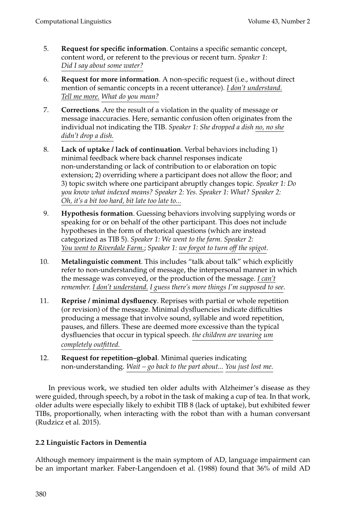- 5. **Request for specific information**. Contains a specific semantic concept, content word, or referent to the previous or recent turn. *Speaker 1: Did I say about some water?*
- 6. **Request for more information**. A non-specific request (i.e., without direct mention of semantic concepts in a recent utterance). *I don't understand. Tell me more. What do you mean?*
- 7. **Corrections**. Are the result of a violation in the quality of message or message inaccuracies. Here, semantic confusion often originates from the individual not indicating the TIB. *Speaker 1: She dropped a dish no, no she didn't drop a dish.*
- 8. **Lack of uptake / lack of continuation**. Verbal behaviors including 1) minimal feedback where back channel responses indicate non-understanding or lack of contribution to or elaboration on topic extension; 2) overriding where a participant does not allow the floor; and 3) topic switch where one participant abruptly changes topic. *Speaker 1: Do you know what indexed means? Speaker 2: Yes. Speaker 1: What? Speaker 2: Oh, it's a bit too hard, bit late too late to...*
- 9. **Hypothesis formation**. Guessing behaviors involving supplying words or speaking for or on behalf of the other participant. This does not include hypotheses in the form of rhetorical questions (which are instead categorized as TIB 5). *Speaker 1: We went to the farm. Speaker 2: You went to Riverdale Farm.*; *Speaker 1: we forgot to turn off the spigot.*
- 10. **Metalinguistic comment**. This includes "talk about talk" which explicitly refer to non-understanding of message, the interpersonal manner in which the message was conveyed, or the production of the message. *I can't remember. I don't understand. I guess there's more things I'm supposed to see*.
- 11. **Reprise / minimal dysfluency**. Reprises with partial or whole repetition (or revision) of the message. Minimal dysfluencies indicate difficulties producing a message that involve sound, syllable and word repetition, pauses, and fillers. These are deemed more excessive than the typical dysfluencies that occur in typical speech. *the children are wearing um completely outfitted.*
- 12. **Request for repetition–global**. Minimal queries indicating non-understanding. *Wait – go back to the part about... You just lost me.*

In previous work, we studied ten older adults with Alzheimer's disease as they were guided, through speech, by a robot in the task of making a cup of tea. In that work, older adults were especially likely to exhibit TIB 8 (lack of uptake), but exhibited fewer TIBs, proportionally, when interacting with the robot than with a human conversant (Rudzicz et al. 2015).

# **2.2 Linguistic Factors in Dementia**

Although memory impairment is the main symptom of AD, language impairment can be an important marker. Faber-Langendoen et al. (1988) found that 36% of mild AD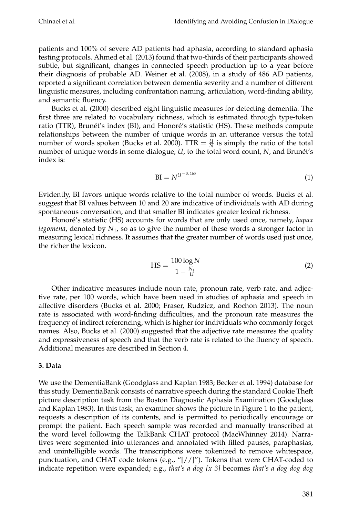patients and 100% of severe AD patients had aphasia, according to standard aphasia testing protocols. Ahmed et al. (2013) found that two-thirds of their participants showed subtle, but significant, changes in connected speech production up to a year before their diagnosis of probable AD. Weiner et al. (2008), in a study of 486 AD patients, reported a significant correlation between dementia severity and a number of different linguistic measures, including confrontation naming, articulation, word-finding ability, and semantic fluency.

Bucks et al. (2000) described eight linguistic measures for detecting dementia. The first three are related to vocabulary richness, which is estimated through type-token ratio (TTR), Brunét's index (BI), and Honoré's statistic (HS). These methods compute relationships between the number of unique words in an utterance versus the total number of words spoken (Bucks et al. 2000). TTR  $=$   $\frac{U}{N}$  is simply the ratio of the total number of unique words in some dialogue, *U*, to the total word count, *N*, and Brunet's ´ index is:

$$
BI = N^{U^{-0.165}} \tag{1}
$$

Evidently, BI favors unique words relative to the total number of words. Bucks et al. suggest that BI values between 10 and 20 are indicative of individuals with AD during spontaneous conversation, and that smaller BI indicates greater lexical richness.

Honoré's statistic (HS) accounts for words that are only used once, namely, hapax *legomena*, denoted by *N*<sup>1</sup> , so as to give the number of these words a stronger factor in measuring lexical richness. It assumes that the greater number of words used just once, the richer the lexicon.

$$
HS = \frac{100 \log N}{1 - \frac{N_1}{U}}
$$
 (2)

Other indicative measures include noun rate, pronoun rate, verb rate, and adjective rate, per 100 words, which have been used in studies of aphasia and speech in affective disorders (Bucks et al. 2000; Fraser, Rudzicz, and Rochon 2013). The noun rate is associated with word-finding difficulties, and the pronoun rate measures the frequency of indirect referencing, which is higher for individuals who commonly forget names. Also, Bucks et al. (2000) suggested that the adjective rate measures the quality and expressiveness of speech and that the verb rate is related to the fluency of speech. Additional measures are described in Section 4.

### **3. Data**

We use the DementiaBank (Goodglass and Kaplan 1983; Becker et al. 1994) database for this study. DementiaBank consists of narrative speech during the standard Cookie Theft picture description task from the Boston Diagnostic Aphasia Examination (Goodglass and Kaplan 1983). In this task, an examiner shows the picture in Figure 1 to the patient, requests a description of its contents, and is permitted to periodically encourage or prompt the patient. Each speech sample was recorded and manually transcribed at the word level following the TalkBank CHAT protocol (MacWhinney 2014). Narratives were segmented into utterances and annotated with filled pauses, paraphasias, and unintelligible words. The transcriptions were tokenized to remove whitespace, punctuation, and CHAT code tokens (e.g., "[//]"). Tokens that were CHAT-coded to indicate repetition were expanded; e.g., *that's a dog [x 3]* becomes *that's a dog dog dog*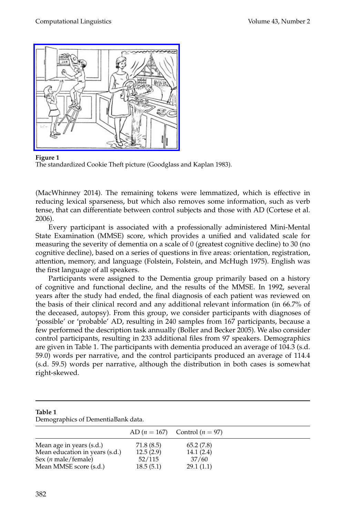

**Figure 1** The standardized Cookie Theft picture (Goodglass and Kaplan 1983).

(MacWhinney 2014). The remaining tokens were lemmatized, which is effective in reducing lexical sparseness, but which also removes some information, such as verb tense, that can differentiate between control subjects and those with AD (Cortese et al. 2006).

Every participant is associated with a professionally administered Mini-Mental State Examination (MMSE) score, which provides a unified and validated scale for measuring the severity of dementia on a scale of 0 (greatest cognitive decline) to 30 (no cognitive decline), based on a series of questions in five areas: orientation, registration, attention, memory, and language (Folstein, Folstein, and McHugh 1975). English was the first language of all speakers.

Participants were assigned to the Dementia group primarily based on a history of cognitive and functional decline, and the results of the MMSE. In 1992, several years after the study had ended, the final diagnosis of each patient was reviewed on the basis of their clinical record and any additional relevant information (in 66.7% of the deceased, autopsy). From this group, we consider participants with diagnoses of 'possible' or 'probable' AD, resulting in 240 samples from 167 participants, because a few performed the description task annually (Boller and Becker 2005). We also consider control participants, resulting in 233 additional files from 97 speakers. Demographics are given in Table 1. The participants with dementia produced an average of 104.3 (s.d. 59.0) words per narrative, and the control participants produced an average of 114.4 (s.d. 59.5) words per narrative, although the distribution in both cases is somewhat right-skewed.

| Table 1<br>Demographics of DementiaBank data. |            |                                   |  |
|-----------------------------------------------|------------|-----------------------------------|--|
|                                               |            | AD $(n = 167)$ Control $(n = 97)$ |  |
| Mean age in years (s.d.)                      | 71.8 (8.5) | 65.2(7.8)                         |  |
| Mean education in years (s.d.)                | 12.5(2.9)  | 14.1(2.4)                         |  |
| Sex ( <i>n</i> male/female)                   | 52/115     | 37/60                             |  |
| Mean MMSE score (s.d.)                        | 18.5(5.1)  | 29.1(1.1)                         |  |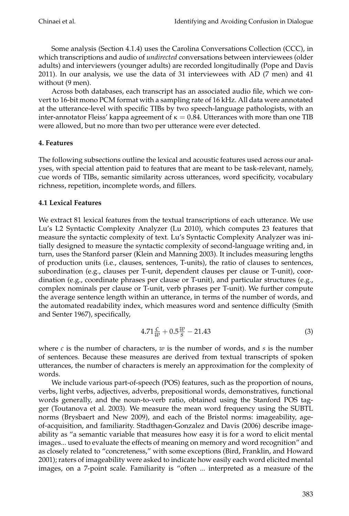Some analysis (Section 4.1.4) uses the Carolina Conversations Collection (CCC), in which transcriptions and audio of *undirected* conversations between interviewees (older adults) and interviewers (younger adults) are recorded longitudinally (Pope and Davis 2011). In our analysis, we use the data of 31 interviewees with AD (7 men) and 41 without (9 men).

Across both databases, each transcript has an associated audio file, which we convert to 16-bit mono PCM format with a sampling rate of 16 kHz. All data were annotated at the utterance-level with specific TIBs by two speech-language pathologists, with an inter-annotator Fleiss' kappa agreement of  $\kappa = 0.84$ . Utterances with more than one TIB were allowed, but no more than two per utterance were ever detected.

## **4. Features**

The following subsections outline the lexical and acoustic features used across our analyses, with special attention paid to features that are meant to be task-relevant, namely, cue words of TIBs, semantic similarity across utterances, word specificity, vocabulary richness, repetition, incomplete words, and fillers.

## **4.1 Lexical Features**

We extract 81 lexical features from the textual transcriptions of each utterance. We use Lu's L2 Syntactic Complexity Analyzer (Lu 2010), which computes 23 features that measure the syntactic complexity of text. Lu's Syntactic Complexity Analyzer was initially designed to measure the syntactic complexity of second-language writing and, in turn, uses the Stanford parser (Klein and Manning 2003). It includes measuring lengths of production units (i.e., clauses, sentences, T-units), the ratio of clauses to sentences, subordination (e.g., clauses per T-unit, dependent clauses per clause or T-unit), coordination (e.g., coordinate phrases per clause or T-unit), and particular structures (e.g., complex nominals per clause or T-unit, verb phrases per T-unit). We further compute the average sentence length within an utterance, in terms of the number of words, and the automated readability index, which measures word and sentence difficulty (Smith and Senter 1967), specifically,

$$
4.71 \frac{c}{w} + 0.5 \frac{w}{s} - 21.43 \tag{3}
$$

where  $c$  is the number of characters,  $w$  is the number of words, and  $s$  is the number of sentences. Because these measures are derived from textual transcripts of spoken utterances, the number of characters is merely an approximation for the complexity of words.

We include various part-of-speech (POS) features, such as the proportion of nouns, verbs, light verbs, adjectives, adverbs, prepositional words, demonstratives, functional words generally, and the noun-to-verb ratio, obtained using the Stanford POS tagger (Toutanova et al. 2003). We measure the mean word frequency using the SUBTL norms (Brysbaert and New 2009), and each of the Bristol norms: imageability, ageof-acquisition, and familiarity. Stadthagen-Gonzalez and Davis (2006) describe imageability as "a semantic variable that measures how easy it is for a word to elicit mental images... used to evaluate the effects of meaning on memory and word recognition" and as closely related to "concreteness," with some exceptions (Bird, Franklin, and Howard 2001); raters of imageability were asked to indicate how easily each word elicited mental images, on a 7-point scale. Familiarity is "often ... interpreted as a measure of the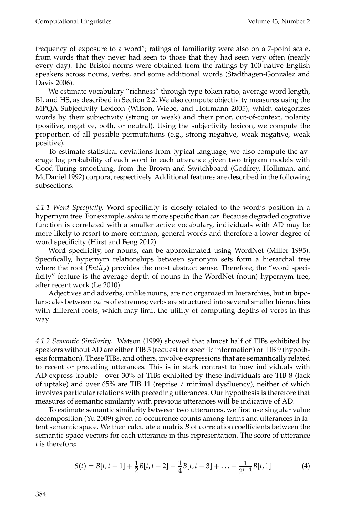frequency of exposure to a word"; ratings of familiarity were also on a 7-point scale, from words that they never had seen to those that they had seen very often (nearly every day). The Bristol norms were obtained from the ratings by 100 native English speakers across nouns, verbs, and some additional words (Stadthagen-Gonzalez and Davis 2006).

We estimate vocabulary "richness" through type-token ratio, average word length, BI, and HS, as described in Section 2.2. We also compute objectivity measures using the MPQA Subjectivity Lexicon (Wilson, Wiebe, and Hoffmann 2005), which categorizes words by their subjectivity (strong or weak) and their prior, out-of-context, polarity (positive, negative, both, or neutral). Using the subjectivity lexicon, we compute the proportion of all possible permutations (e.g., strong negative, weak negative, weak positive).

To estimate statistical deviations from typical language, we also compute the average log probability of each word in each utterance given two trigram models with Good-Turing smoothing, from the Brown and Switchboard (Godfrey, Holliman, and McDaniel 1992) corpora, respectively. Additional features are described in the following subsections.

*4.1.1 Word Specificity.* Word specificity is closely related to the word's position in a hypernym tree. For example, *sedan* is more specific than *car*. Because degraded cognitive function is correlated with a smaller active vocabulary, individuals with AD may be more likely to resort to more common, general words and therefore a lower degree of word specificity (Hirst and Feng 2012).

Word specificity, for nouns, can be approximated using WordNet (Miller 1995). Specifically, hypernym relationships between synonym sets form a hierarchal tree where the root (*Entity*) provides the most abstract sense. Therefore, the "word specificity" feature is the average depth of nouns in the WordNet (noun) hypernym tree, after recent work (Le 2010).

Adjectives and adverbs, unlike nouns, are not organized in hierarchies, but in bipolar scales between pairs of extremes; verbs are structured into several smaller hierarchies with different roots, which may limit the utility of computing depths of verbs in this way.

*4.1.2 Semantic Similarity.* Watson (1999) showed that almost half of TIBs exhibited by speakers without AD are either TIB 5 (request for specific information) or TIB 9 (hypothesis formation). These TIBs, and others, involve expressions that are semantically related to recent or preceding utterances. This is in stark contrast to how individuals with AD express trouble—over 30% of TIBs exhibited by these individuals are TIB 8 (lack of uptake) and over 65% are TIB 11 (reprise / minimal dysfluency), neither of which involves particular relations with preceding utterances. Our hypothesis is therefore that measures of semantic similarity with previous utterances will be indicative of AD.

To estimate semantic similarity between two utterances, we first use singular value decomposition (Yu 2009) given co-occurrence counts among terms and utterances in latent semantic space. We then calculate a matrix *B* of correlation coefficients between the semantic-space vectors for each utterance in this representation. The score of utterance *t* is therefore:

$$
S(t) = B[t, t-1] + \frac{1}{2}B[t, t-2] + \frac{1}{4}B[t, t-3] + \ldots + \frac{1}{2^{t-1}}B[t, 1]
$$
(4)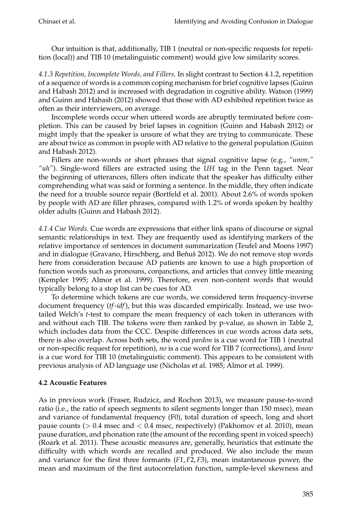Our intuition is that, additionally, TIB 1 (neutral or non-specific requests for repetition (local)) and TIB 10 (metalinguistic comment) would give low similarity scores.

*4.1.3 Repetition, Incomplete Words, and Fillers.* In slight contrast to Section 4.1.2, repetition of a sequence of words is a common coping mechanism for brief cognitive lapses (Guinn and Habash 2012) and is increased with degradation in cognitive ability. Watson (1999) and Guinn and Habash (2012) showed that those with AD exhibited repetition twice as often as their interviewers, on average.

Incomplete words occur when uttered words are abruptly terminated before completion. This can be caused by brief lapses in cognition (Guinn and Habash 2012) or might imply that the speaker is unsure of what they are trying to communicate. These are about twice as common in people with AD relative to the general population (Guinn and Habash 2012).

Fillers are non-words or short phrases that signal cognitive lapse (e.g., *"umm," "uh"*). Single-word fillers are extracted using the *UH* tag in the Penn tagset. Near the beginning of utterances, fillers often indicate that the speaker has difficulty either comprehending what was said or forming a sentence. In the middle, they often indicate the need for a trouble source repair (Bortfeld et al. 2001). About 2.6% of words spoken by people with AD are filler phrases, compared with 1.2% of words spoken by healthy older adults (Guinn and Habash 2012).

*4.1.4 Cue Words.* Cue words are expressions that either link spans of discourse or signal semantic relationships in text. They are frequently used as identifying markers of the relative importance of sentences in document summarization (Teufel and Moens 1997) and in dialogue (Gravano, Hirschberg, and Beňuš 2012). We do not remove stop words here from consideration because AD patients are known to use a high proportion of function words such as pronouns, conjunctions, and articles that convey little meaning (Kempler 1995; Almor et al. 1999). Therefore, even non-content words that would typically belong to a stop list can be cues for AD.

To determine which tokens are cue words, we considered term frequency-inverse document frequency (*tf*-*idf*), but this was discarded empirically. Instead, we use twotailed Welch's *t*-test to compare the mean frequency of each token in utterances with and without each TIB. The tokens were then ranked by p-value, as shown in Table 2, which includes data from the CCC. Despite differences in cue words across data sets, there is also overlap. Across both sets, the word *pardon* is a cue word for TIB 1 (neutral or non-specific request for repetition), *no* is a cue word for TIB 7 (corrections), and *know* is a cue word for TIB 10 (metalinguistic comment). This appears to be consistent with previous analysis of AD language use (Nicholas et al. 1985; Almor et al. 1999).

## **4.2 Acoustic Features**

As in previous work (Fraser, Rudzicz, and Rochon 2013), we measure pause-to-word ratio (i.e., the ratio of speech segments to silent segments longer than 150 msec), mean and variance of fundamental frequency (F0), total duration of speech, long and short pause counts ( $> 0.4$  msec and  $< 0.4$  msec, respectively) (Pakhomov et al. 2010), mean pause duration, and phonation rate (the amount of the recording spent in voiced speech) (Roark et al. 2011). These acoustic measures are, generally, heuristics that estimate the difficulty with which words are recalled and produced. We also include the mean and variance for the first three formants (*F*1, *F*2, *F*3), mean instantaneous power, the mean and maximum of the first autocorrelation function, sample-level skewness and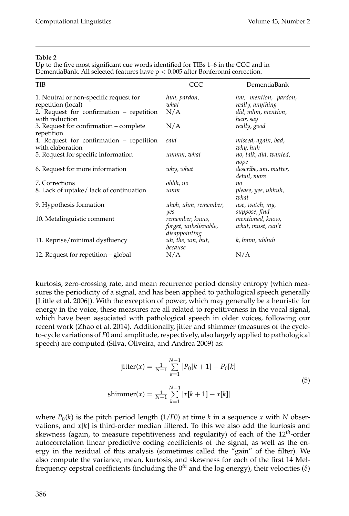### **Table 2**

Up to the five most significant cue words identified for TIBs 1–6 in the CCC and in DementiaBank. All selected features have  $p < 0.005$  after Bonferonni correction.

| <b>TIB</b>                                                   | CCC                                                       | DementiaBank                          |
|--------------------------------------------------------------|-----------------------------------------------------------|---------------------------------------|
| 1. Neutral or non-specific request for                       | huh, pardon,                                              | hm, mention, pardon,                  |
| repetition (local)                                           | what                                                      | really, anything                      |
| 2. Request for confirmation - repetition<br>with reduction   | N/A                                                       | did, mhm, mention,<br>hear, say       |
| 3. Request for confirmation – complete<br>repetition         | N/A                                                       | really, good                          |
| 4. Request for confirmation - repetition<br>with elaboration | said                                                      | missed, again, bad,<br>why, huh       |
| 5. Request for specific information                          | ummm, what                                                | no, talk, did, wanted,<br>nope        |
| 6. Request for more information                              | why, what                                                 | describe, am, matter,<br>detail, more |
| 7. Corrections                                               | ohhh, no                                                  | no                                    |
| 8. Lack of uptake/lack of continuation                       | umm                                                       | please, yes, uhhuh,<br>what           |
| 9. Hypothesis formation                                      | uhoh, uhm, remember,<br>yes                               | use, watch, my,<br>suppose, find      |
| 10. Metalinguistic comment                                   | remember, know,<br>forget, unbelievable,<br>disappointing | mentioned, know,<br>what, must, can't |
| 11. Reprise/minimal dysfluency                               | uh, the, um, but,<br>because                              | k, hmm, uhhuh                         |
| 12. Request for repetition – global                          | N/A                                                       | N/A                                   |

kurtosis, zero-crossing rate, and mean recurrence period density entropy (which measures the periodicity of a signal, and has been applied to pathological speech generally [Little et al. 2006]). With the exception of power, which may generally be a heuristic for energy in the voice, these measures are all related to repetitiveness in the vocal signal, which have been associated with pathological speech in older voices, following our recent work (Zhao et al. 2014). Additionally, jitter and shimmer (measures of the cycleto-cycle variations of *F*0 and amplitude, respectively, also largely applied to pathological speech) are computed (Silva, Oliveira, and Andrea 2009) as:

$$
\text{jitter}(x) = \frac{1}{N-1} \sum_{k=1}^{N-1} |P_0[k+1] - P_0[k]|
$$
\n
$$
\text{shimmer}(x) = \frac{1}{N-1} \sum_{k=1}^{N-1} |x[k+1] - x[k]|
$$
\n
$$
(5)
$$

where  $P_0(k)$  is the pitch period length (1/F0) at time  $k$  in a sequence  $x$  with  $N$  observations, and *x*[*k*] is third-order median filtered. To this we also add the kurtosis and skewness (again, to measure repetitiveness and regularity) of each of the 12*th*-order autocorrelation linear predictive coding coefficients of the signal, as well as the energy in the residual of this analysis (sometimes called the "gain" of the filter). We also compute the variance, mean, kurtosis, and skewness for each of the first 14 Melfrequency cepstral coefficients (including the 0*th* and the log energy), their velocities (δ)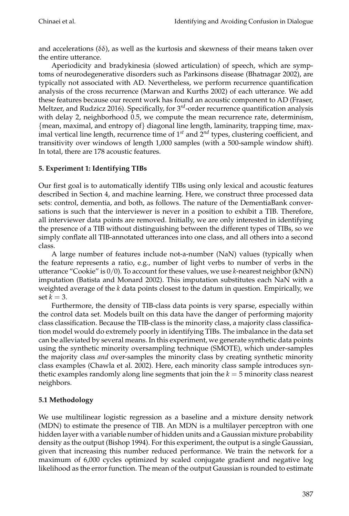and accelerations ( $\delta\delta$ ), as well as the kurtosis and skewness of their means taken over the entire utterance.

Aperiodicity and bradykinesia (slowed articulation) of speech, which are symptoms of neurodegenerative disorders such as Parkinsons disease (Bhatnagar 2002), are typically not associated with AD. Nevertheless, we perform recurrence quantification analysis of the cross recurrence (Marwan and Kurths 2002) of each utterance. We add these features because our recent work has found an acoustic component to AD (Fraser, Meltzer, and Rudzicz 2016). Specifically, for 3*rd*-order recurrence quantification analysis with delay 2, neighborhood 0.5, we compute the mean recurrence rate, determinism,  ${mean, maximal, and entropy of}$  diagonal line length, laminarity, trapping time, maximal vertical line length, recurrence time of  $1<sup>st</sup>$  and  $2<sup>nd</sup>$  types, clustering coefficient, and transitivity over windows of length 1,000 samples (with a 500-sample window shift). In total, there are 178 acoustic features.

## **5. Experiment 1: Identifying TIBs**

Our first goal is to automatically identify TIBs using only lexical and acoustic features described in Section 4, and machine learning. Here, we construct three processed data sets: control, dementia, and both, as follows. The nature of the DementiaBank conversations is such that the interviewer is never in a position to exhibit a TIB. Therefore, all interviewer data points are removed. Initially, we are only interested in identifying the presence of a TIB without distinguishing between the different types of TIBs, so we simply conflate all TIB-annotated utterances into one class, and all others into a second class.

A large number of features include not-a-number (NaN) values (typically when the feature represents a ratio, e.g., number of light verbs to number of verbs in the utterance "Cookie" is 0/0). To account for these values, we use *k*-nearest neighbor (kNN) imputation (Batista and Monard 2002). This imputation substitutes each NaN with a weighted average of the *k* data points closest to the datum in question. Empirically, we set  $k = 3$ .

Furthermore, the density of TIB-class data points is very sparse, especially within the control data set. Models built on this data have the danger of performing majority class classification. Because the TIB-class is the minority class, a majority class classification model would do extremely poorly in identifying TIBs. The imbalance in the data set can be alleviated by several means. In this experiment, we generate synthetic data points using the synthetic minority oversampling technique (SMOTE), which under-samples the majority class *and* over-samples the minority class by creating synthetic minority class examples (Chawla et al. 2002). Here, each minority class sample introduces synthetic examples randomly along line segments that join the *k* = 5 minority class nearest neighbors.

# **5.1 Methodology**

We use multilinear logistic regression as a baseline and a mixture density network (MDN) to estimate the presence of TIB. An MDN is a multilayer perceptron with one hidden layer with a variable number of hidden units and a Gaussian mixture probability density as the output (Bishop 1994). For this experiment, the output is a single Gaussian, given that increasing this number reduced performance. We train the network for a maximum of 6,000 cycles optimized by scaled conjugate gradient and negative log likelihood as the error function. The mean of the output Gaussian is rounded to estimate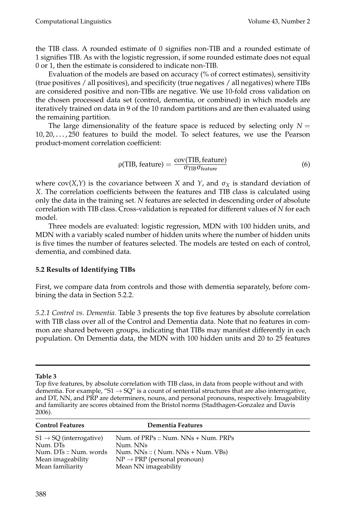the TIB class. A rounded estimate of 0 signifies non-TIB and a rounded estimate of 1 signifies TIB. As with the logistic regression, if some rounded estimate does not equal 0 or 1, then the estimate is considered to indicate non-TIB.

Evaluation of the models are based on accuracy (% of correct estimates), sensitivity (true positives / all positives), and specificity (true negatives / all negatives) where TIBs are considered positive and non-TIBs are negative. We use 10-fold cross validation on the chosen processed data set (control, dementia, or combined) in which models are iteratively trained on data in 9 of the 10 random partitions and are then evaluated using the remaining partition.

The large dimensionality of the feature space is reduced by selecting only  $N =$ 10, 20, . . . , 250 features to build the model. To select features, we use the Pearson product-moment correlation coefficient:

$$
\rho(TIB, feature) = \frac{\text{cov}(TIB, feature)}{\sigma_{TIB} \sigma_{feature}} \tag{6}
$$

where  $cov(X,Y)$  is the covariance between *X* and *Y*, and  $\sigma_X$  is standard deviation of *X*. The correlation coefficients between the features and TIB class is calculated using only the data in the training set. *N* features are selected in descending order of absolute correlation with TIB class. Cross-validation is repeated for different values of *N* for each model.

Three models are evaluated: logistic regression, MDN with 100 hidden units, and MDN with a variably scaled number of hidden units where the number of hidden units is five times the number of features selected. The models are tested on each of control, dementia, and combined data.

## **5.2 Results of Identifying TIBs**

First, we compare data from controls and those with dementia separately, before combining the data in Section 5.2.2.

*5.2.1 Control vs. Dementia.* Table 3 presents the top five features by absolute correlation with TIB class over all of the Control and Dementia data. Note that no features in common are shared between groups, indicating that TIBs may manifest differently in each population. On Dementia data, the MDN with 100 hidden units and 20 to 25 features

### **Table 3**

Top five features, by absolute correlation with TIB class, in data from people without and with dementia. For example, "S1  $\rightarrow$  SQ" is a count of sentential structures that are also interrogative, and DT, NN, and PRP are determiners, nouns, and personal pronouns, respectively. Imageability and familiarity are scores obtained from the Bristol norms (Stadthagen-Gonzalez and Davis 2006).

| <b>Control Features</b>             | Dementia Features                       |
|-------------------------------------|-----------------------------------------|
| $S1 \rightarrow SQ$ (interrogative) | Num. of PRPs :: Num. NNs + Num. PRPs    |
| Num. DTs                            | Num. NNs                                |
| Num. DTs:: Num. words               | Num. $NNs$ :: ( Num. $NNs + Num. VBs$ ) |
| Mean imageability                   | $NP \rightarrow PRP$ (personal pronoun) |
| Mean familiarity                    | Mean NN imageability                    |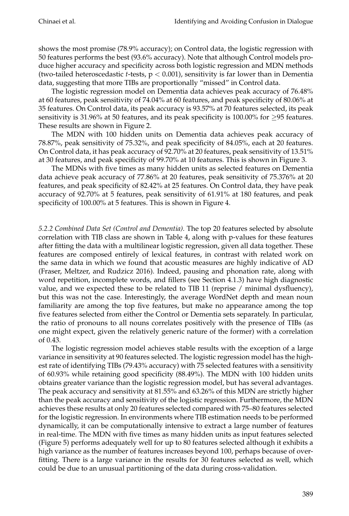shows the most promise (78.9% accuracy); on Control data, the logistic regression with 50 features performs the best (93.6% accuracy). Note that although Control models produce higher accuracy and specificity across both logistic regression and MDN methods (two-tailed heteroscedastic *t*-tests, p < 0.001), sensitivity is far lower than in Dementia data, suggesting that more TIBs are proportionally "missed" in Control data.

The logistic regression model on Dementia data achieves peak accuracy of 76.48% at 60 features, peak sensitivity of 74.04% at 60 features, and peak specificity of 80.06% at 35 features. On Control data, its peak accuracy is 93.57% at 70 features selected, its peak sensitivity is 31.96% at 50 features, and its peak specificity is 100.00% for  $\geq$ 95 features. These results are shown in Figure 2.

The MDN with 100 hidden units on Dementia data achieves peak accuracy of 78.87%, peak sensitivity of 75.32%, and peak specificity of 84.05%, each at 20 features. On Control data, it has peak accuracy of 92.70% at 20 features, peak sensitivity of 13.51% at 30 features, and peak specificity of 99.70% at 10 features. This is shown in Figure 3.

The MDNs with five times as many hidden units as selected features on Dementia data achieve peak accuracy of 77.86% at 20 features, peak sensitivity of 75.376% at 20 features, and peak specificity of 82.42% at 25 features. On Control data, they have peak accuracy of 92.70% at 5 features, peak sensitivity of 61.91% at 180 features, and peak specificity of 100.00% at 5 features. This is shown in Figure 4.

*5.2.2 Combined Data Set (Control and Dementia).* The top 20 features selected by absolute correlation with TIB class are shown in Table 4, along with p-values for these features after fitting the data with a multilinear logistic regression, given all data together. These features are composed entirely of lexical features, in contrast with related work on the same data in which we found that acoustic measures are highly indicative of AD (Fraser, Meltzer, and Rudzicz 2016). Indeed, pausing and phonation rate, along with word repetition, incomplete words, and fillers (see Section 4.1.3) have high diagnostic value, and we expected these to be related to TIB 11 (reprise / minimal dysfluency), but this was not the case. Interestingly, the average WordNet depth and mean noun familiarity are among the top five features, but make no appearance among the top five features selected from either the Control or Dementia sets separately. In particular, the ratio of pronouns to all nouns correlates positively with the presence of TIBs (as one might expect, given the relatively generic nature of the former) with a correlation of 0.43.

The logistic regression model achieves stable results with the exception of a large variance in sensitivity at 90 features selected. The logistic regression model has the highest rate of identifying TIBs (79.43% accuracy) with 75 selected features with a sensitivity of 60.93% while retaining good specificity (88.49%). The MDN with 100 hidden units obtains greater variance than the logistic regression model, but has several advantages. The peak accuracy and sensitivity at 81.55% and 63.26% of this MDN are strictly higher than the peak accuracy and sensitivity of the logistic regression. Furthermore, the MDN achieves these results at only 20 features selected compared with 75–80 features selected for the logistic regression. In environments where TIB estimation needs to be performed dynamically, it can be computationally intensive to extract a large number of features in real-time. The MDN with five times as many hidden units as input features selected (Figure 5) performs adequately well for up to 80 features selected although it exhibits a high variance as the number of features increases beyond 100, perhaps because of overfitting. There is a large variance in the results for 30 features selected as well, which could be due to an unusual partitioning of the data during cross-validation.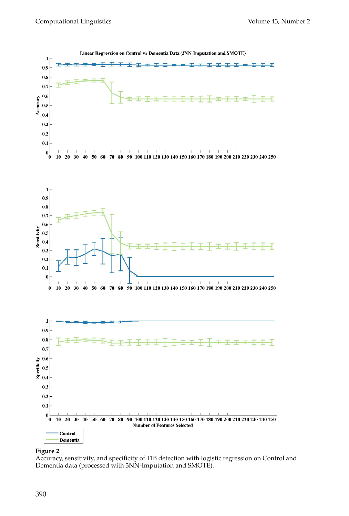

#### **Figure 2**

Accuracy, sensitivity, and specificity of TIB detection with logistic regression on Control and Dementia data (processed with 3NN-Imputation and SMOTE).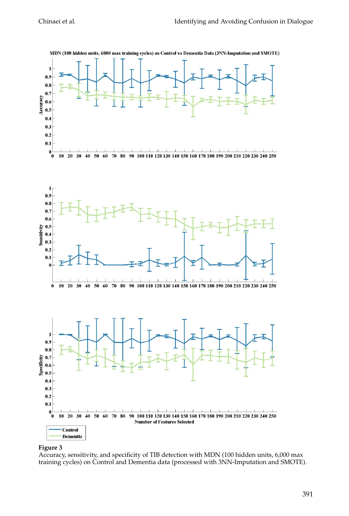

#### MDN (100 hidden units, 6000 max training cycles) on Control vs Dementia Data (3NN-Imputation and SMOTE)

#### **Figure 3**

Accuracy, sensitivity, and specificity of TIB detection with MDN (100 hidden units, 6,000 max training cycles) on Control and Dementia data (processed with 3NN-Imputation and SMOTE).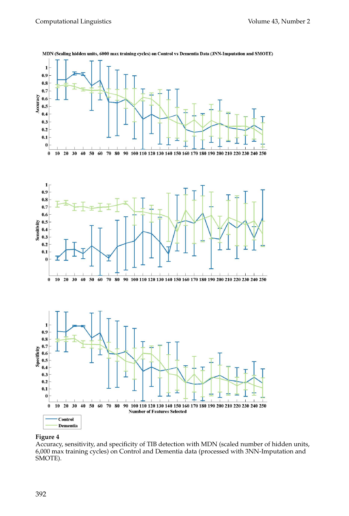

MDN (Scaling hidden units, 6000 max training cycles) on Control vs Dementia Data (3NN-Imputation and SMOTE)

#### **Figure 4**

Accuracy, sensitivity, and specificity of TIB detection with MDN (scaled number of hidden units, 6,000 max training cycles) on Control and Dementia data (processed with 3NN-Imputation and SMOTE).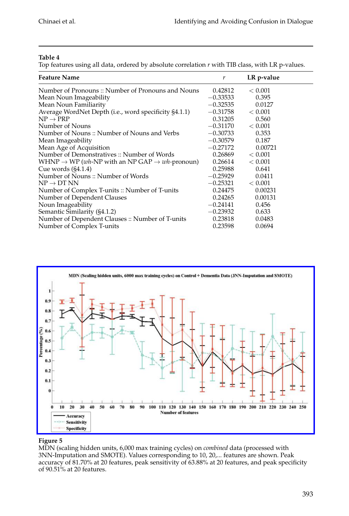### **Table 4**

Top features using all data, ordered by absolute correlation *r* with TIB class, with LR p-values.

| <b>Feature Name</b>                                                                    | r          | LR p-value |
|----------------------------------------------------------------------------------------|------------|------------|
| Number of Pronouns :: Number of Pronouns and Nouns                                     | 0.42812    | < 0.001    |
| Mean Noun Imageability                                                                 | $-0.33533$ | 0.395      |
| Mean Noun Familiarity                                                                  | $-0.32535$ | 0.0127     |
| Average WordNet Depth (i.e., word specificity §4.1.1)                                  | $-0.31758$ | < 0.001    |
| $NP \rightarrow PRP$                                                                   | 0.31205    | 0.560      |
| Number of Nouns                                                                        | $-0.31170$ | < 0.001    |
| Number of Nouns :: Number of Nouns and Verbs                                           | $-0.30733$ | 0.353      |
| Mean Imageability                                                                      | $-0.30579$ | 0.187      |
| Mean Age of Acquisition                                                                | $-0.27172$ | 0.00721    |
| Number of Demonstratives :: Number of Words                                            | 0.26869    | < 0.001    |
| WHNP $\rightarrow$ WP ( <i>wh</i> -NP with an NP GAP $\rightarrow$ <i>wh</i> -pronoun) | 0.26614    | < 0.001    |
| Cue words $(S4.1.4)$                                                                   | 0.25988    | 0.641      |
| Number of Nouns :: Number of Words                                                     | $-0.25929$ | 0.0411     |
| $NP \rightarrow DT NN$                                                                 | $-0.25321$ | < 0.001    |
| Number of Complex T-units :: Number of T-units                                         | 0.24475    | 0.00231    |
| Number of Dependent Clauses                                                            | 0.24265    | 0.00131    |
| Noun Imageability                                                                      | $-0.24141$ | 0.456      |
| Semantic Similarity (§4.1.2)                                                           | $-0.23932$ | 0.633      |
| Number of Dependent Clauses: Number of T-units                                         | 0.23818    | 0.0483     |
| Number of Complex T-units                                                              | 0.23598    | 0.0694     |



### **Figure 5**

MDN (scaling hidden units, 6,000 max training cycles) on *combined* data (processed with 3NN-Imputation and SMOTE). Values corresponding to 10, 20,... features are shown. Peak accuracy of 81.70% at 20 features, peak sensitivity of 63.88% at 20 features, and peak specificity of 90.51% at 20 features.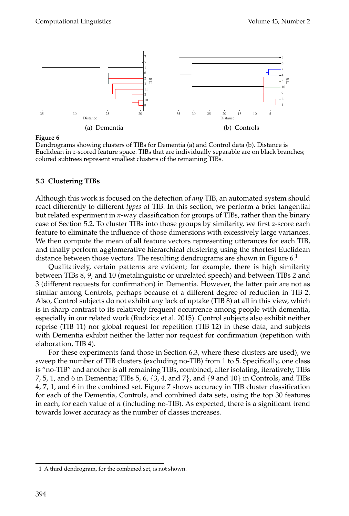

#### **Figure 6**

Dendrograms showing clusters of TIBs for Dementia (a) and Control data (b). Distance is Euclidean in *z*-scored feature space. TIBs that are individually separable are on black branches; colored subtrees represent smallest clusters of the remaining TIBs.

#### **5.3 Clustering TIBs**

Although this work is focused on the detection of *any* TIB, an automated system should react differently to different *types* of TIB. In this section, we perform a brief tangential but related experiment in *n*-way classification for groups of TIBs, rather than the binary case of Section 5.2. To cluster TIBs into those groups by similarity, we first *z*-score each feature to eliminate the influence of those dimensions with excessively large variances. We then compute the mean of all feature vectors representing utterances for each TIB, and finally perform agglomerative hierarchical clustering using the shortest Euclidean distance between those vectors. The resulting dendrograms are shown in Figure  $6<sup>1</sup>$ 

Qualitatively, certain patterns are evident; for example, there is high similarity between TIBs 8, 9, and 10 (metalinguistic or unrelated speech) and between TIBs 2 and 3 (different requests for confirmation) in Dementia. However, the latter pair are not as similar among Controls, perhaps because of a different degree of reduction in TIB 2. Also, Control subjects do not exhibit any lack of uptake (TIB 8) at all in this view, which is in sharp contrast to its relatively frequent occurrence among people with dementia, especially in our related work (Rudzicz et al. 2015). Control subjects also exhibit neither reprise (TIB 11) nor global request for repetition (TIB 12) in these data, and subjects with Dementia exhibit neither the latter nor request for confirmation (repetition with elaboration, TIB 4).

For these experiments (and those in Section 6.3, where these clusters are used), we sweep the number of TIB clusters (excluding no-TIB) from 1 to 5. Specifically, one class is "no-TIB" and another is all remaining TIBs, combined, after isolating, iteratively, TIBs 7, 5, 1, and 6 in Dementia; TIBs 5, 6,  $\{3, 4, \text{ and } 7\}$ , and  $\{9 \text{ and } 10\}$  in Controls, and TIBs 4, 7, 1, and 6 in the combined set. Figure 7 shows accuracy in TIB cluster classification for each of the Dementia, Controls, and combined data sets, using the top 30 features in each, for each value of *n* (including no-TIB). As expected, there is a significant trend towards lower accuracy as the number of classes increases.

<sup>1</sup> A third dendrogram, for the combined set, is not shown.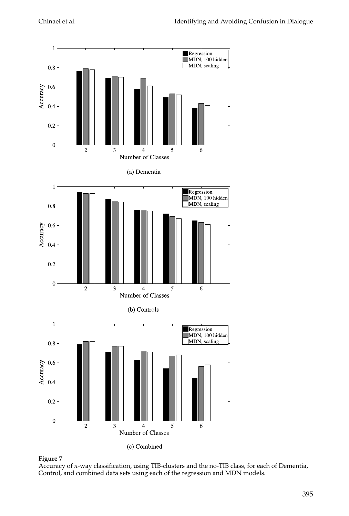



Accuracy of *n*-way classification, using TIB-clusters and the no-TIB class, for each of Dementia, Control, and combined data sets using each of the regression and MDN models.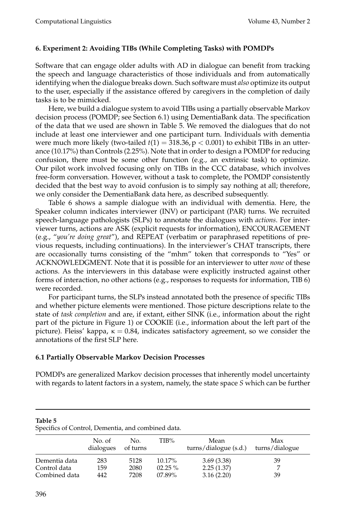## **6. Experiment 2: Avoiding TIBs (While Completing Tasks) with POMDPs**

Software that can engage older adults with AD in dialogue can benefit from tracking the speech and language characteristics of those individuals and from automatically identifying when the dialogue breaks down. Such software must *also* optimize its output to the user, especially if the assistance offered by caregivers in the completion of daily tasks is to be mimicked.

Here, we build a dialogue system to avoid TIBs using a partially observable Markov decision process (POMDP; see Section 6.1) using DementiaBank data. The specification of the data that we used are shown in Table 5. We removed the dialogues that do not include at least one interviewer and one participant turn. Individuals with dementia were much more likely (two-tailed  $t(1) = 318.36$ ,  $p < 0.001$ ) to exhibit TIBs in an utterance (10.17%) than Controls (2.25%). Note that in order to design a POMDP for reducing confusion, there must be some other function (e.g., an extrinsic task) to optimize. Our pilot work involved focusing only on TIBs in the CCC database, which involves free-form conversation. However, without a task to complete, the POMDP consistently decided that the best way to avoid confusion is to simply say nothing at all; therefore, we only consider the DementiaBank data here, as described subsequently.

Table 6 shows a sample dialogue with an individual with dementia. Here, the Speaker column indicates interviewer (INV) or participant (PAR) turns. We recruited speech-language pathologists (SLPs) to annotate the dialogues with *actions*. For interviewer turns, actions are ASK (explicit requests for information), ENCOURAGEMENT (e.g., "*you're doing great*"), and REPEAT (verbatim or paraphrased repetitions of previous requests, including continuations). In the interviewer's CHAT transcripts, there are occasionally turns consisting of the "mhm" token that corresponds to "Yes" or ACKNOWLEDGMENT. Note that it is possible for an interviewer to utter *none* of these actions. As the interviewers in this database were explicitly instructed against other forms of interaction, no other actions (e.g., responses to requests for information, TIB 6) were recorded.

For participant turns, the SLPs instead annotated both the presence of specific TIBs and whether picture elements were mentioned. Those picture descriptions relate to the state of *task completion* and are, if extant, either SINK (i.e., information about the right part of the picture in Figure 1) or COOKIE (i.e., information about the left part of the picture). Fleiss' kappa,  $κ = 0.84$ , indicates satisfactory agreement, so we consider the annotations of the first SLP here.

## **6.1 Partially Observable Markov Decision Processes**

POMDPs are generalized Markov decision processes that inherently model uncertainty with regards to latent factors in a system, namely, the state space *S* which can be further

| opeennes of control, bennemin, and complited data. |                     |                      |                                     |                                        |                       |  |
|----------------------------------------------------|---------------------|----------------------|-------------------------------------|----------------------------------------|-----------------------|--|
|                                                    | No. of<br>dialogues | No.<br>of turns      | TIB%                                | Mean<br>turns/dialogue (s.d.)          | Max<br>turns/dialogue |  |
| Dementia data<br>Control data<br>Combined data     | 283<br>159<br>442   | 5128<br>2080<br>7208 | $10.17\%$<br>$02.25\%$<br>$07.89\%$ | 3.69(3.38)<br>2.25(1.37)<br>3.16(2.20) | 39<br>39              |  |

**Table 5** Specifics of Control, Dementia, and combined data.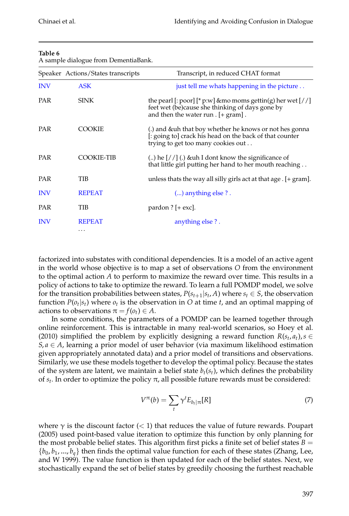## **Table 6**

A sample dialogue from DementiaBank.

|            | Speaker Actions/States transcripts | Transcript, in reduced CHAT format                                                                                                                             |
|------------|------------------------------------|----------------------------------------------------------------------------------------------------------------------------------------------------------------|
| <b>INV</b> | <b>ASK</b>                         | just tell me whats happening in the picture                                                                                                                    |
| <b>PAR</b> | <b>SINK</b>                        | the pearl [: poor] [* p:w] & mo moms gettin(g) her wet $\left[$ / /]<br>feet wet (be) cause she thinking of days gone by<br>and then the water run $[+$ gram]. |
| <b>PAR</b> | <b>COOKIE</b>                      | (.) and & uh that boy whether he knows or not hes gonna<br>[: going to] crack his head on the back of that counter<br>trying to get too many cookies out       |
| <b>PAR</b> | COOKIE-TIB                         | () he $\left[7/ \right]$ (.) & uh I dont know the significance of<br>that little girl putting her hand to her mouth reaching                                   |
| <b>PAR</b> | TIB                                | unless thats the way all silly girls act at that age . [+ gram].                                                                                               |
| <b>INV</b> | <b>REPEAT</b>                      | $()$ anything else ?.                                                                                                                                          |
| PAR        | TIB                                | pardon $?$ [+ exc].                                                                                                                                            |
| <b>INV</b> | <b>REPEAT</b><br>$\cdots$          | anything else ?.                                                                                                                                               |

factorized into substates with conditional dependencies. It is a model of an active agent in the world whose objective is to map a set of observations *O* from the environment to the optimal action *A* to perform to maximize the reward over time. This results in a policy of actions to take to optimize the reward. To learn a full POMDP model, we solve for the transition probabilities between states,  $P(s_{t+1} | s_t, A)$  where  $s_t \in S$ , the observation function  $P(o_t|s_t)$  where  $o_t$  is the observation in *O* at time *t*, and an optimal mapping of actions to observations  $\pi = f(o_t) \in A$ .

In some conditions, the parameters of a POMDP can be learned together through online reinforcement. This is intractable in many real-world scenarios, so Hoey et al. (2010) simplified the problem by explicitly designing a reward function  $R(s_t, a_t)$ ,  $s \in$  $S, a \in A$ , learning a prior model of user behavior (via maximum likelihood estimation given appropriately annotated data) and a prior model of transitions and observations. Similarly, we use these models together to develop the optimal policy. Because the states of the system are latent, we maintain a belief state  $b_t(s_t)$ , which defines the probability of  $s_t$ . In order to optimize the policy π, all possible future rewards must be considered:

$$
V^{\pi}(b) = \sum_{t} \gamma^{t} E_{b_{t}|\pi}[R] \tag{7}
$$

where  $\gamma$  is the discount factor (< 1) that reduces the value of future rewards. Poupart (2005) used point-based value iteration to optimize this function by only planning for the most probable belief states. This algorithm first picks a finite set of belief states  $B =$  $\{b_0, b_1, ..., b_q\}$  then finds the optimal value function for each of these states (Zhang, Lee, and W 1999). The value function is then updated for each of the belief states. Next, we stochastically expand the set of belief states by greedily choosing the furthest reachable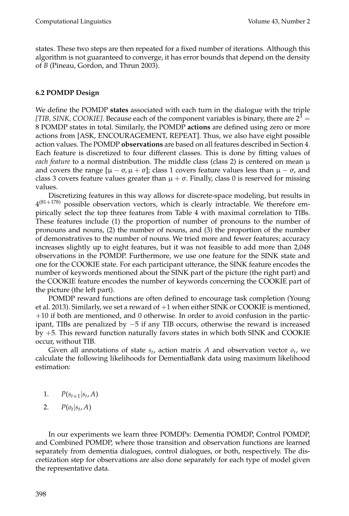states. These two steps are then repeated for a fixed number of iterations. Although this algorithm is not guaranteed to converge, it has error bounds that depend on the density of *B* (Pineau, Gordon, and Thrun 2003).

## **6.2 POMDP Design**

We define the POMDP **states** associated with each turn in the dialogue with the triple *[TIB, SINK, COOKIE]*. Because each of the component variables is binary, there are  $2<sup>3</sup>$  = 8 POMDP states in total. Similarly, the POMDP **actions** are defined using zero or more actions from [ASK, ENCOURAGEMENT, REPEAT]. Thus, we also have eight possible action values. The POMDP **observations** are based on all features described in Section 4. Each feature is discretized to four different classes. This is done by fitting values of *each feature* to a normal distribution. The middle class (class 2) is centered on mean  $\mu$ and covers the range  $[\mu - \sigma, \mu + \sigma]$ ; class 1 covers feature values less than  $\mu - \sigma$ , and class 3 covers feature values greater than  $\mu + \sigma$ . Finally, class 0 is reserved for missing values.

Discretizing features in this way allows for discrete-space modeling, but results in  $4^{(81+178)}$  possible observation vectors, which is clearly intractable. We therefore empirically select the top three features from Table 4 with maximal correlation to TIBs. These features include (1) the proportion of number of pronouns to the number of pronouns and nouns, (2) the number of nouns, and (3) the proportion of the number of demonstratives to the number of nouns. We tried more and fewer features; accuracy increases slightly up to eight features, but it was not feasible to add more than 2,048 observations in the POMDP. Furthermore, we use one feature for the SINK state and one for the COOKIE state. For each participant utterance, the SINK feature encodes the number of keywords mentioned about the SINK part of the picture (the right part) and the COOKIE feature encodes the number of keywords concerning the COOKIE part of the picture (the left part).

POMDP reward functions are often defined to encourage task completion (Young et al. 2013). Similarly, we set a reward of  $+1$  when either SINK or COOKIE is mentioned, +10 if both are mentioned, and 0 otherwise. In order to avoid confusion in the participant, TIBs are penalized by −5 if any TIB occurs, otherwise the reward is increased by +5. This reward function naturally favors states in which both SINK and COOKIE occur, without TIB.

Given all annotations of state  $s_t$ , action matrix  $A$  and observation vector  $o_t$ , we calculate the following likelihoods for DementiaBank data using maximum likelihood estimation:

- 1.  $P(s_{t+1}|s_t, A)$
- 2.  $P(o_t | s_t, A)$

In our experiments we learn three POMDPs: Dementia POMDP, Control POMDP, and Combined POMDP, where those transition and observation functions are learned separately from dementia dialogues, control dialogues, or both, respectively. The discretization step for observations are also done separately for each type of model given the representative data.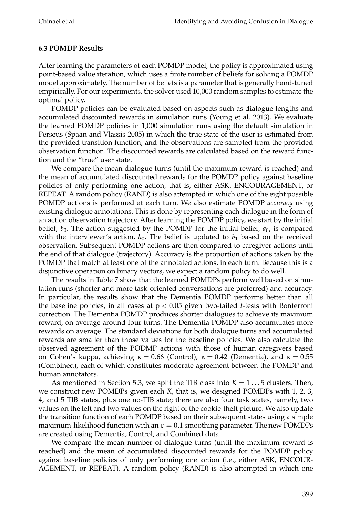## **6.3 POMDP Results**

After learning the parameters of each POMDP model, the policy is approximated using point-based value iteration, which uses a finite number of beliefs for solving a POMDP model approximately. The number of beliefs is a parameter that is generally hand-tuned empirically. For our experiments, the solver used 10,000 random samples to estimate the optimal policy.

POMDP policies can be evaluated based on aspects such as dialogue lengths and accumulated discounted rewards in simulation runs (Young et al. 2013). We evaluate the learned POMDP policies in 1,000 simulation runs using the default simulation in Perseus (Spaan and Vlassis 2005) in which the true state of the user is estimated from the provided transition function, and the observations are sampled from the provided observation function. The discounted rewards are calculated based on the reward function and the "true" user state.

We compare the mean dialogue turns (until the maximum reward is reached) and the mean of accumulated discounted rewards for the POMDP policy against baseline policies of only performing one action, that is, either ASK, ENCOURAGEMENT, or REPEAT. A random policy (RAND) is also attempted in which one of the eight possible POMDP actions is performed at each turn. We also estimate POMDP *accuracy* using existing dialogue annotations. This is done by representing each dialogue in the form of an action observation trajectory. After learning the POMDP policy, we start by the initial belief,  $b_0$ . The action suggested by the POMDP for the initial belief,  $a_0$ , is compared with the interviewer's action,  $h_0$ . The belief is updated to  $b_1$  based on the received observation. Subsequent POMDP actions are then compared to caregiver actions until the end of that dialogue (trajectory). Accuracy is the proportion of actions taken by the POMDP that match at least one of the annotated actions, in each turn. Because this is a disjunctive operation on binary vectors, we expect a random policy to do well.

The results in Table 7 show that the learned POMDPs perform well based on simulation runs (shorter and more task-oriented conversations are preferred) and accuracy. In particular, the results show that the Dementia POMDP performs better than all the baseline policies, in all cases at p < 0.05 given two-tailed *t*-tests with Bonferroni correction. The Dementia POMDP produces shorter dialogues to achieve its maximum reward, on average around four turns. The Dementia POMDP also accumulates more rewards on average. The standard deviations for both dialogue turns and accumulated rewards are smaller than those values for the baseline policies. We also calculate the observed agreement of the PODMP actions with those of human caregivers based on Cohen's kappa, achieving  $κ = 0.66$  (Control),  $κ = 0.42$  (Dementia), and  $κ = 0.55$ (Combined), each of which constitutes moderate agreement between the POMDP and human annotators.

As mentioned in Section 5.3, we split the TIB class into  $K = 1 \dots 5$  clusters. Then, we construct new POMDPs given each *K*, that is, we designed POMDPs with 1, 2, 3, 4, and 5 TIB states, plus one no-TIB state; there are also four task states, namely, two values on the left and two values on the right of the cookie-theft picture. We also update the transition function of each POMDP based on their subsequent states using a simple maximum-likelihood function with an  $\epsilon = 0.1$  smoothing parameter. The new POMDPs are created using Dementia, Control, and Combined data.

We compare the mean number of dialogue turns (until the maximum reward is reached) and the mean of accumulated discounted rewards for the POMDP policy against baseline policies of only performing one action (i.e., either ASK, ENCOUR-AGEMENT, or REPEAT). A random policy (RAND) is also attempted in which one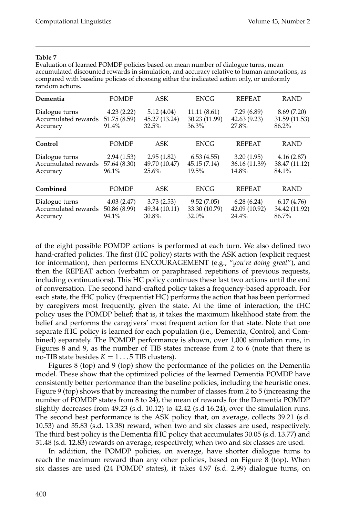#### **Table 7**

Evaluation of learned POMDP policies based on mean number of dialogue turns, mean accumulated discounted rewards in simulation, and accuracy relative to human annotations, as compared with baseline policies of choosing either the indicated action only, or uniformly random actions.

| Dementia            | <b>POMDP</b> | ASK           | <b>ENCG</b>   | <b>REPEAT</b> | <b>RAND</b>   |
|---------------------|--------------|---------------|---------------|---------------|---------------|
| Dialogue turns      | 4.23(2.22)   | 5.12(4.04)    | 11.11 (8.61)  | 7.29 (6.89)   | 8.69(7.20)    |
| Accumulated rewards | 51.75 (8.59) | 45.27 (13.24) | 30.23 (11.99) | 42.63(9.23)   | 31.59 (11.53) |
| Accuracy            | 91.4%        | 32.5%         | $36.3\%$      | 27.8%         | 86.2%         |
| Control             | <b>POMDP</b> | ASK           | <b>ENCG</b>   | <b>REPEAT</b> | <b>RAND</b>   |
| Dialogue turns      | 2.94(1.53)   | 2.95(1.82)    | 6.53(4.55)    | 3.20(1.95)    | 4.16(2.87)    |
| Accumulated rewards | 57.64 (8.30) | 49.70 (10.47) | 45.15(7.14)   | 36.16 (11.39) | 38.47 (11.12) |
| Accuracy            | 96.1%        | 25.6%         | $19.5\%$      | 14.8%         | 84.1%         |
| Combined            | <b>POMDP</b> | ASK           | <b>ENCG</b>   | <b>REPEAT</b> | <b>RAND</b>   |
| Dialogue turns      | 4.03(2.47)   | 3.73(2.53)    | 9.52(7.05)    | 6.28(6.24)    | 6.17(4.76)    |
| Accumulated rewards | 50.86 (8.99) | 49.34 (10.11) | 33.30 (10.79) | 42.09 (10.92) | 34.42 (11.92) |
| Accuracy            | 94.1%        | 30.8%         | 32.0%         | 24.4%         | 86.7%         |

of the eight possible POMDP actions is performed at each turn. We also defined two hand-crafted policies. The first (HC policy) starts with the ASK action (explicit request for information), then performs ENCOURAGEMENT (e.g., "*you're doing great*"), and then the REPEAT action (verbatim or paraphrased repetitions of previous requests, including continuations). This HC policy continues these last two actions until the end of conversation. The second hand-crafted policy takes a frequency-based approach. For each state, the fHC policy (frequentist HC) performs the action that has been performed by caregivers most frequently, given the state. At the time of interaction, the fHC policy uses the POMDP belief; that is, it takes the maximum likelihood state from the belief and performs the caregivers' most frequent action for that state. Note that one separate fHC policy is learned for each population (i.e., Dementia, Control, and Combined) separately. The POMDP performance is shown, over 1,000 simulation runs, in Figures 8 and 9, as the number of TIB states increase from 2 to 6 (note that there is no-TIB state besides  $K = 1 \dots 5$  TIB clusters).

Figures 8 (top) and 9 (top) show the performance of the policies on the Dementia model. These show that the optimized policies of the learned Dementia POMDP have consistently better performance than the baseline policies, including the heuristic ones. Figure 9 (top) shows that by increasing the number of classes from 2 to 5 (increasing the number of POMDP states from 8 to 24), the mean of rewards for the Dementia POMDP slightly decreases from 49.23 (s.d. 10.12) to 42.42 (s.d 16.24), over the simulation runs. The second best performance is the ASK policy that, on average, collects 39.21 (s.d. 10.53) and 35.83 (s.d. 13.38) reward, when two and six classes are used, respectively. The third best policy is the Dementia fHC policy that accumulates 30.05 (s.d. 13.77) and 31.48 (s.d. 12.83) rewards on average, respectively, when two and six classes are used.

In addition, the POMDP policies, on average, have shorter dialogue turns to reach the maximum reward than any other policies, based on Figure 8 (top). When six classes are used (24 POMDP states), it takes 4.97 (s.d. 2.99) dialogue turns, on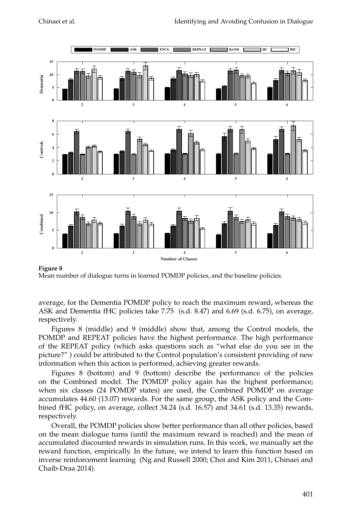

### **Figure 8**

Mean number of dialogue turns in learned POMDP policies, and the baseline policies.

average, for the Dementia POMDP policy to reach the maximum reward, whereas the ASK and Dementia fHC policies take 7.75 (s.d. 8.47) and 6.69 (s.d. 6.75), on average, respectively.

Figures 8 (middle) and 9 (middle) show that, among the Control models, the POMDP and REPEAT policies have the highest performance. The high performance of the REPEAT policy (which asks questions such as "what else do you see in the picture?" ) could be attributed to the Control population's consistent providing of new information when this action is performed, achieving greater rewards.

Figures 8 (bottom) and 9 (bottom) describe the performance of the policies on the Combined model. The POMDP policy again has the highest performance; when six classes (24 POMDP states) are used, the Combined POMDP on average accumulates 44.60 (13.07) rewards. For the same group, the ASK policy and the Combined fHC policy, on average, collect 34.24 (s.d. 16.57) and 34.61 (s.d. 13.35) rewards, respectively.

Overall, the POMDP policies show better performance than all other policies, based on the mean dialogue turns (until the maximum reward is reached) and the mean of accumulated discounted rewards in simulation runs. In this work, we manually set the reward function, empirically. In the future, we intend to learn this function based on inverse reinforcement learning (Ng and Russell 2000; Choi and Kim 2011; Chinaei and Chaib-Draa 2014).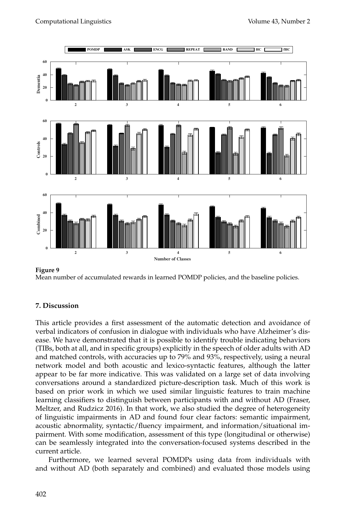

#### **Figure 9**

Mean number of accumulated rewards in learned POMDP policies, and the baseline policies.

## **7. Discussion**

This article provides a first assessment of the automatic detection and avoidance of verbal indicators of confusion in dialogue with individuals who have Alzheimer's disease. We have demonstrated that it is possible to identify trouble indicating behaviors (TIBs, both at all, and in specific groups) explicitly in the speech of older adults with AD and matched controls, with accuracies up to 79% and 93%, respectively, using a neural network model and both acoustic and lexico-syntactic features, although the latter appear to be far more indicative. This was validated on a large set of data involving conversations around a standardized picture-description task. Much of this work is based on prior work in which we used similar linguistic features to train machine learning classifiers to distinguish between participants with and without AD (Fraser, Meltzer, and Rudzicz 2016). In that work, we also studied the degree of heterogeneity of linguistic impairments in AD and found four clear factors: semantic impairment, acoustic abnormality, syntactic/fluency impairment, and information/situational impairment. With some modification, assessment of this type (longitudinal or otherwise) can be seamlessly integrated into the conversation-focused systems described in the current article.

Furthermore, we learned several POMDPs using data from individuals with and without AD (both separately and combined) and evaluated those models using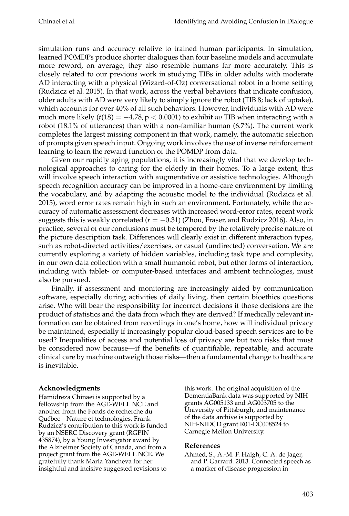simulation runs and accuracy relative to trained human participants. In simulation, learned POMDPs produce shorter dialogues than four baseline models and accumulate more reword, on average; they also resemble humans far more accurately. This is closely related to our previous work in studying TIBs in older adults with moderate AD interacting with a physical (Wizard-of-Oz) conversational robot in a home setting (Rudzicz et al. 2015). In that work, across the verbal behaviors that indicate confusion, older adults with AD were very likely to simply ignore the robot (TIB 8; lack of uptake), which accounts for over 40% of all such behaviors. However, individuals with AD were much more likely  $(t(18) = -4.78, p < 0.0001)$  to exhibit *no* TIB when interacting with a robot (18.1% of utterances) than with a non-familiar human (6.7%). The current work completes the largest missing component in that work, namely, the automatic selection of prompts given speech input. Ongoing work involves the use of inverse reinforcement learning to learn the reward function of the POMDP from data.

Given our rapidly aging populations, it is increasingly vital that we develop technological approaches to caring for the elderly in their homes. To a large extent, this will involve speech interaction with augmentative or assistive technologies. Although speech recognition accuracy can be improved in a home-care environment by limiting the vocabulary, and by adapting the acoustic model to the individual (Rudzicz et al. 2015), word error rates remain high in such an environment. Fortunately, while the accuracy of automatic assessment decreases with increased word-error rates, recent work suggests this is weakly correlated (*r* = −0.31) (Zhou, Fraser, and Rudzicz 2016). Also, in practice, several of our conclusions must be tempered by the relatively precise nature of the picture description task. Differences will clearly exist in different interaction types, such as robot-directed activities/exercises, or casual (undirected) conversation. We are currently exploring a variety of hidden variables, including task type and complexity, in our own data collection with a small humanoid robot, but other forms of interaction, including with tablet- or computer-based interfaces and ambient technologies, must also be pursued.

Finally, if assessment and monitoring are increasingly aided by communication software, especially during activities of daily living, then certain bioethics questions arise. Who will bear the responsibility for incorrect decisions if those decisions are the product of statistics and the data from which they are derived? If medically relevant information can be obtained from recordings in one's home, how will individual privacy be maintained, especially if increasingly popular cloud-based speech services are to be used? Inequalities of access and potential loss of privacy are but two risks that must be considered now because—if the benefits of quantifiable, repeatable, and accurate clinical care by machine outweigh those risks—then a fundamental change to healthcare is inevitable.

## **Acknowledgments**

Hamidreza Chinaei is supported by a fellowship from the AGE-WELL NCE and another from the Fonds de recherche du Québec – Nature et technologies. Frank Rudzicz's contribution to this work is funded by an NSERC Discovery grant (RGPIN 435874), by a Young Investigator award by the Alzheimer Society of Canada, and from a project grant from the AGE-WELL NCE. We gratefully thank Maria Yancheva for her insightful and incisive suggested revisions to

this work. The original acquisition of the DementiaBank data was supported by NIH grants AG005133 and AG003705 to the University of Pittsburgh, and maintenance of the data archive is supported by NIH-NIDCD grant R01-DC008524 to Carnegie Mellon University.

## **References**

Ahmed, S., A.-M. F. Haigh, C. A. de Jager, and P. Garrard. 2013. Connected speech as a marker of disease progression in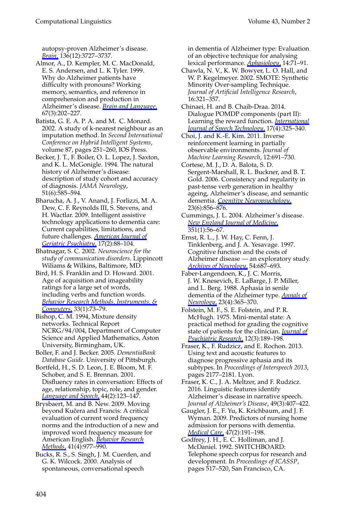autopsy-proven Alzheimer's disease. *[Brain](http://www.mitpressjournals.org/action/showLinks?doi=10.1162%2FCOLI_a_00290&crossref=10.1093%2Fbrain%2Fawt269&citationId=p_1)*, 136(12):3727–3737.

Almor, A., D. Kempler, M. C. MacDonald, E. S. Andersen, and L. K Tyler. 1999. Why do Alzheimer patients have difficulty with pronouns? Working memory, semantics, and reference in comprehension and production in Alzheimer's disease. *[Brain and Language](http://www.mitpressjournals.org/action/showLinks?doi=10.1162%2FCOLI_a_00290&crossref=10.1006%2Fbrln.1999.2055&citationId=p_2)*, 67(3):202–227.

Batista, G. E. A. P. A. and M. C. Monard. 2002. A study of k-nearest neighbour as an imputation method. In *Second International Conference on Hybrid Intelligent Systems*, volume 87, pages 251-260, IOS Press.

Becker, J. T., F. Boiler, O. L. Lopez, J. Saxton, and K. L. McGonigle. 1994. The natural history of Alzheimer's disease: description of study cohort and accuracy of diagnosis. *JAMA Neurology*, 51(6):585–594.

Bharucha, A. J., V. Anand, J. Forlizzi, M. A. Dew, C. F. Reynolds III, S. Stevens, and H. Wactlar. 2009. Intelligent assistive technology applications to dementia care: Current capabilities, limitations, and future challenges. *[American Journal of](http://www.mitpressjournals.org/action/showLinks?doi=10.1162%2FCOLI_a_00290&crossref=10.1097%2FJGP.0b013e318187dde5&citationId=p_5) [Geriatric Psychiatry](http://www.mitpressjournals.org/action/showLinks?doi=10.1162%2FCOLI_a_00290&crossref=10.1097%2FJGP.0b013e318187dde5&citationId=p_5)*, 17(2):88–104.

Bhatnagar, S. C. 2002. *Neuroscience for the study of communication disorders*. Lippincott Wiliams & Wilkins, Baltimore, MD.

Bird, H. S. Franklin and D. Howard. 2001. Age of acquisition and imageability ratings for a large set of words, including verbs and function words. *[Behavior Research Methods, Instruments, &](http://www.mitpressjournals.org/action/showLinks?doi=10.1162%2FCOLI_a_00290&crossref=10.3758%2FBF03195349&citationId=p_7) [Computers](http://www.mitpressjournals.org/action/showLinks?doi=10.1162%2FCOLI_a_00290&crossref=10.3758%2FBF03195349&citationId=p_7)*, 33(1):73–79.

Bishop, C. M. 1994, Mixture density networks. Technical Report NCRG/94/004, Department of Computer Science and Applied Mathematics, Aston University, Birmingham, UK.

Boller, F. and J. Becker. 2005. *DementiaBank Database Guide*. University of Pittsburgh.

Bortfeld, H., S. D. Leon, J. E. Bloom, M. F. Schober, and S. E. Brennan. 2001. Disfluency rates in conversation: Effects of age, relationship, topic, role, and gender. *[Language and Speech](http://www.mitpressjournals.org/action/showLinks?doi=10.1162%2FCOLI_a_00290&crossref=10.1177%2F00238309010440020101&citationId=p_10)*, 44(2):123–147.

Brysbaert, M. and B. New. 2009. Moving beyond Kučera and Francis: A critical evaluation of current word frequency norms and the introduction of a new and improved word frequency measure for American English. *[Behavior Research](http://www.mitpressjournals.org/action/showLinks?doi=10.1162%2FCOLI_a_00290&crossref=10.3758%2FBRM.41.4.977&citationId=p_11) [Methods](http://www.mitpressjournals.org/action/showLinks?doi=10.1162%2FCOLI_a_00290&crossref=10.3758%2FBRM.41.4.977&citationId=p_11)*, 41(4):977–990.

Bucks, R. S., S. Singh, J. M. Cuerden, and G. K. Wilcock. 2000. Analysis of spontaneous, conversational speech

in dementia of Alzheimer type: Evaluation of an objective technique for analysing lexical performance. *[Aphasiology](http://www.mitpressjournals.org/action/showLinks?doi=10.1162%2FCOLI_a_00290&crossref=10.1080%2F026870300401603&citationId=p_12)*, 14:71–91.

Chawla, N. V., K. W. Bowyer, L. O. Hall, and W. P. Kegelmeyer. 2002. SMOTE: Synthetic Minority Over-sampling Technique. *Journal of Artificial Intelligence Research*, 16:321–357.

Chinaei, H. and B. Chaib-Draa. 2014. Dialogue POMDP components (part II): Learning the reward function. *[International](http://www.mitpressjournals.org/action/showLinks?doi=10.1162%2FCOLI_a_00290&crossref=10.1007%2Fs10772-014-9224-x&citationId=p_14) [Journal of Speech Technology](http://www.mitpressjournals.org/action/showLinks?doi=10.1162%2FCOLI_a_00290&crossref=10.1007%2Fs10772-014-9224-x&citationId=p_14)*, 17(4):325–340.

- Choi, J. and K.-E. Kim. 2011. Inverse reinforcement learning in partially observable environments. *Journal of Machine Learning Research*, 12:691–730.
- Cortese, M. J., D. A. Balota, S. D. Sergent-Marshall, R. L. Buckner, and B. T. Gold. 2006. Consistency and regularity in past-tense verb generation in healthy ageing, Alzheimer's disease, and semantic dementia. *[Cognitive Neuropsychology](http://www.mitpressjournals.org/action/showLinks?doi=10.1162%2FCOLI_a_00290&crossref=10.1080%2F02643290500483124&citationId=p_16)*, 23(6):856–876.

Cummings, J. L. 2004. Alzheimer's disease. *[New England Journal of Medicine](http://www.mitpressjournals.org/action/showLinks?doi=10.1162%2FCOLI_a_00290&crossref=10.1056%2FNEJMra040223&citationId=p_17)*, 351(1):56–67.

Ernst, R. L., J. W. Hay, C. Fenn, J. Tinklenberg, and J. A. Yesavage. 1997. Cognitive function and the costs of Alzheimer disease — an exploratory study. *[Archives of Neurology](http://www.mitpressjournals.org/action/showLinks?doi=10.1162%2FCOLI_a_00290&crossref=10.1001%2Farchneur.1997.00550180013006&citationId=p_18)*, 54:687–693.

Faber-Langendoen, K., J. C. Morris, J. W. Knesevich, E. LaBarge, J. P. Miller, and L. Berg. 1988. Aphasia in senile dementia of the Alzheimer type. *[Annals of](http://www.mitpressjournals.org/action/showLinks?doi=10.1162%2FCOLI_a_00290&crossref=10.1002%2Fana.410230409&citationId=p_19) [Neurology](http://www.mitpressjournals.org/action/showLinks?doi=10.1162%2FCOLI_a_00290&crossref=10.1002%2Fana.410230409&citationId=p_19)*, 23(4):365–370.

Folstein, M. F., S. E. Folstein, and P. R. McHugh. 1975. Mini-mental state: A practical method for grading the cognitive state of patients for the clinician. *[Journal of](http://www.mitpressjournals.org/action/showLinks?doi=10.1162%2FCOLI_a_00290&crossref=10.1016%2F0022-3956%2875%2990026-6&citationId=p_20) [Psychiatric Research](http://www.mitpressjournals.org/action/showLinks?doi=10.1162%2FCOLI_a_00290&crossref=10.1016%2F0022-3956%2875%2990026-6&citationId=p_20)*, 12(3):189–198.

Fraser, K., F. Rudzicz, and E. Rochon. 2013. Using text and acoustic features to diagnose progressive aphasia and its subtypes. In *Proceedings of Interspeech 2013*, pages 2177–2181. Lyon.

Fraser, K. C., J. A. Meltzer, and F. Rudzicz. 2016. Linguistic features identify Alzheimer's disease in narrative speech. *Journal of Alzheimer's Disease*, 49(3):407–422.

Gaugler, J. E., F. Yu, K. Krichbaum, and J. F. Wyman. 2009. Predictors of nursing home admission for persons with dementia. *[Medical Care](http://www.mitpressjournals.org/action/showLinks?doi=10.1162%2FCOLI_a_00290&crossref=10.1097%2FMLR.0b013e31818457ce&citationId=p_23)*, 47(2):191–198.

Godfrey, J. H., E. C. Holliman, and J. McDaniel. 1992. SWITCHBOARD: Telephone speech corpus for research and development. In *Proceedings of ICASSP*, pages 517–520, San Francisco, CA.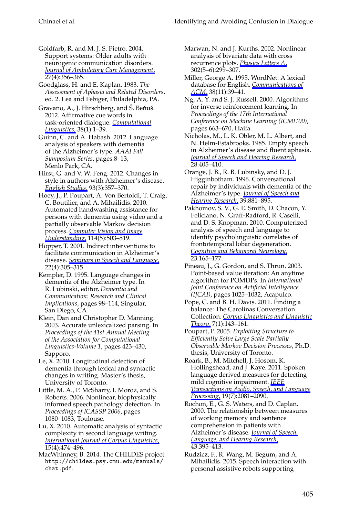Goldfarb, R. and M. J. S. Pietro. 2004. Support systems: Older adults with neurogenic communication disorders. *[Journal of Ambulatory Care Management](http://www.mitpressjournals.org/action/showLinks?doi=10.1162%2FCOLI_a_00290&crossref=10.1097%2F00004479-200410000-00008&citationId=p_25)*, 27(4):356–365.

Goodglass, H. and E. Kaplan. 1983. *The Assessment of Aphasia and Related Disorders*, ed. 2. Lea and Febiger, Philadelphia, PA.

Gravano, A., J. Hirschberg, and Š. Beňuš. 2012. Affirmative cue words in task-oriented dialogue. *[Computational](http://www.mitpressjournals.org/action/showLinks?doi=10.1162%2FCOLI_a_00290&system=10.1162%2FCOLI_a_00083&citationId=p_27) [Linguistics](http://www.mitpressjournals.org/action/showLinks?doi=10.1162%2FCOLI_a_00290&system=10.1162%2FCOLI_a_00083&citationId=p_27)*, 38(1):1–39.

Guinn, C. and A. Habash. 2012. Language analysis of speakers with dementia of the Alzheimer's type. *AAAI Fall Symposium Series*, pages 8–13, Menlo Park, CA.

Hirst, G. and V. W. Feng. 2012. Changes in style in authors with Alzheimer's disease. *[English Studies](http://www.mitpressjournals.org/action/showLinks?doi=10.1162%2FCOLI_a_00290&crossref=10.1080%2F0013838X.2012.668789&citationId=p_29)*, 93(3):357–370.

Hoey, J., P. Poupart, A. Von Bertoldi, T. Craig, C. Boutilier, and A. Mihailidis. 2010. Automated handwashing assistance for persons with dementia using video and a partially observable Markov decision process. *[Computer Vision and Image](http://www.mitpressjournals.org/action/showLinks?doi=10.1162%2FCOLI_a_00290&crossref=10.1016%2Fj.cviu.2009.06.008&citationId=p_30) [Understanding](http://www.mitpressjournals.org/action/showLinks?doi=10.1162%2FCOLI_a_00290&crossref=10.1016%2Fj.cviu.2009.06.008&citationId=p_30)*, 114(5):503–519.

Hopper, T. 2001. Indirect interventions to facilitate communication in Alzheimer's disease. *[Seminars in Speech and Language](http://www.mitpressjournals.org/action/showLinks?doi=10.1162%2FCOLI_a_00290&crossref=10.1055%2Fs-2001-17428&citationId=p_31)*, 22(4):305–315.

Kempler, D. 1995. Language changes in dementia of the Alzheimer type. In R. Lubinski, editor, *Dementia and Communication: Research and Clinical Implications*, pages 98–114, Singular, San Diego, CA.

Klein, Dan and Christopher D. Manning. 2003. Accurate unlexicalized parsing. In *Proceedings of the 41st Annual Meeting of the Association for Computational Linguistics-Volume 1*, pages 423–430, Sapporo.

Le, X. 2010. Longitudinal detection of dementia through lexical and syntactic changes in writing. Master's thesis, University of Toronto.

Little, M. A., P. McSharry, I. Moroz, and S. Roberts. 2006. Nonlinear, biophysically informed speech pathology detection. In *Proceedings of ICASSP 2006*, pages 1080–1083, Toulouse.

Lu, X. 2010. Automatic analysis of syntactic complexity in second language writing. *[International Journal of Corpus Linguistics](http://www.mitpressjournals.org/action/showLinks?doi=10.1162%2FCOLI_a_00290&crossref=10.1075%2Fijcl.15.4.02lu&citationId=p_36)*, 15(4):474–496.

MacWhinney, B. 2014. The CHILDES project. http://childes.psy.cmu.edu/manuals/ chat.pdf.

Marwan, N. and J. Kurths. 2002. Nonlinear analysis of bivariate data with cross recurrence plots. *[Physics Letters A](http://www.mitpressjournals.org/action/showLinks?doi=10.1162%2FCOLI_a_00290&crossref=10.1016%2FS0375-9601%2802%2901170-2&citationId=p_38)*, 302(5–6):299–307.

Miller, George A. 1995. WordNet: A lexical database for English. *[Communications of](http://www.mitpressjournals.org/action/showLinks?doi=10.1162%2FCOLI_a_00290&crossref=10.1145%2F219717.219748&citationId=p_39) [ACM](http://www.mitpressjournals.org/action/showLinks?doi=10.1162%2FCOLI_a_00290&crossref=10.1145%2F219717.219748&citationId=p_39)*, 38(11):39–41.

Ng, A. Y. and S. J. Russell. 2000. Algorithms for inverse reinforcement learning. In *Proceedings of the 17th International Conference on Machine Learning (ICML'00)*, pages 663–670, Haifa.

Nicholas, M., L. K. Obler, M. L. Albert, and N. Helm-Estabrooks. 1985. Empty speech in Alzheimer's disease and fluent aphasia. *[Journal of Speech and Hearing Research](http://www.mitpressjournals.org/action/showLinks?doi=10.1162%2FCOLI_a_00290&crossref=10.1044%2Fjshr.2803.405&citationId=p_41)*, 28:405–410.

Orange, J. B., R. B. Lubinsky, and D. J. Higginbotham. 1996. Conversational repair by individuals with dementia of the Alzheimer's type. *[Journal of Speech and](http://www.mitpressjournals.org/action/showLinks?doi=10.1162%2FCOLI_a_00290&crossref=10.1044%2Fjshr.3904.881&citationId=p_42) [Hearing Research](http://www.mitpressjournals.org/action/showLinks?doi=10.1162%2FCOLI_a_00290&crossref=10.1044%2Fjshr.3904.881&citationId=p_42)*, 39:881–895.

Pakhomov, S. V., G. E. Smith, D. Chacon, Y. Feliciano, N. Graff-Radford, R. Caselli, and D. S. Knopman. 2010. Computerized analysis of speech and language to identify psycholinguistic correlates of frontotemporal lobar degeneration. *[Cognitive and Behavioral Neurology](http://www.mitpressjournals.org/action/showLinks?doi=10.1162%2FCOLI_a_00290&crossref=10.1097%2FWNN.0b013e3181c5dde3&citationId=p_43)*, 23:165–177.

Pineau, J., G. Gordon, and S. Thrun. 2003. Point-based value iteration: An anytime algorithm for POMDPs. In *International Joint Conference on Artificial Intelligence (IJCAI)*, pages 1025–1032, Acapulco.

Pope, C. and B. H. Davis. 2011. Finding a balance: The Carolinas Conversation Collection. *[Corpus Linguistics and Linguistic](http://www.mitpressjournals.org/action/showLinks?doi=10.1162%2FCOLI_a_00290&crossref=10.1515%2Fcllt.2011.007&citationId=p_45) [Theory](http://www.mitpressjournals.org/action/showLinks?doi=10.1162%2FCOLI_a_00290&crossref=10.1515%2Fcllt.2011.007&citationId=p_45)*, 7(1):143–161.

Poupart, P. 2005. *Exploiting Structure to Efficiently Solve Large Scale Partially Observable Markov Decision Processes*, Ph.D. thesis, University of Toronto.

Roark, B., M. Mitchell, J. Hosom, K. Hollingshead, and J. Kaye. 2011. Spoken language derived measures for detecting mild cognitive impairment. *[IEEE](http://www.mitpressjournals.org/action/showLinks?doi=10.1162%2FCOLI_a_00290&crossref=10.1109%2FTASL.2011.2112351&citationId=p_47) [Transactions on Audio, Speech, and Language](http://www.mitpressjournals.org/action/showLinks?doi=10.1162%2FCOLI_a_00290&crossref=10.1109%2FTASL.2011.2112351&citationId=p_47) [Processing](http://www.mitpressjournals.org/action/showLinks?doi=10.1162%2FCOLI_a_00290&crossref=10.1109%2FTASL.2011.2112351&citationId=p_47)*, 19(7):2081–2090.

Rochon, E., G. S. Waters, and D. Caplan. 2000. The relationship between measures of working memory and sentence comprehension in patients with Alzheimer's disease. *[Journal of Speech,](http://www.mitpressjournals.org/action/showLinks?doi=10.1162%2FCOLI_a_00290&crossref=10.1044%2Fjslhr.4302.395&citationId=p_48) [Language, and Hearing Research](http://www.mitpressjournals.org/action/showLinks?doi=10.1162%2FCOLI_a_00290&crossref=10.1044%2Fjslhr.4302.395&citationId=p_48)*, 43:395–413.

Rudzicz, F., R. Wang, M. Begum, and A. Mihailidis. 2015. Speech interaction with personal assistive robots supporting